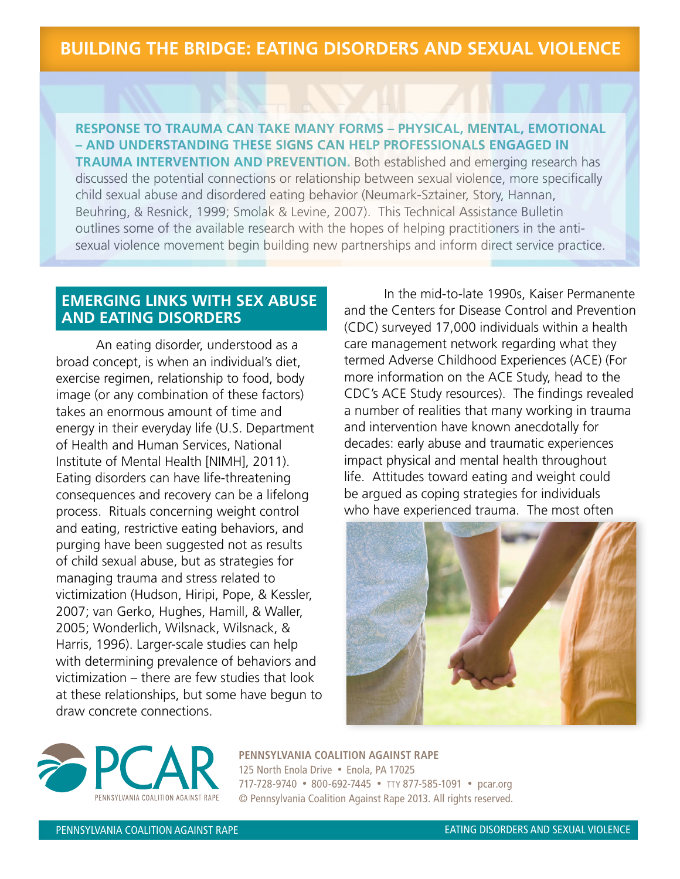## **BUILDING THE BRIDGE: EATING DISORDERS AND SEXUAL VIOLENCE**

### **RESPONSE TO TRAUMA CAN TAKE MANY FORMS – PHYSICAL, MENTAL, EMOTIONAL – AND UNDERSTANDING THESE SIGNS CAN HELP PROFESSIONALS ENGAGED IN**

**TRAUMA INTERVENTION AND PREVENTION.** Both established and emerging research has discussed the potential connections or relationship between sexual violence, more specifically child sexual abuse and disordered eating behavior (Neumark-Sztainer, Story, Hannan, Beuhring, & Resnick, 1999; Smolak & Levine, 2007). This Technical Assistance Bulletin outlines some of the available research with the hopes of helping practitioners in the antisexual violence movement begin building new partnerships and inform direct service practice.

#### **EMERGING LINKS WITH SEX ABUSE AND EATING DISORDERS**

An eating disorder, understood as a broad concept, is when an individual's diet, exercise regimen, relationship to food, body image (or any combination of these factors) takes an enormous amount of time and energy in their everyday life (U.S. Department of Health and Human Services, National Institute of Mental Health [NIMH], 2011). Eating disorders can have life-threatening consequences and recovery can be a lifelong process. Rituals concerning weight control and eating, restrictive eating behaviors, and purging have been suggested not as results of child sexual abuse, but as strategies for managing trauma and stress related to victimization (Hudson, Hiripi, Pope, & Kessler, 2007; van Gerko, Hughes, Hamill, & Waller, 2005; Wonderlich, Wilsnack, Wilsnack, & Harris, 1996). Larger-scale studies can help with determining prevalence of behaviors and victimization – there are few studies that look at these relationships, but some have begun to draw concrete connections.

 In the mid-to-late 1990s, Kaiser Permanente and the Centers for Disease Control and Prevention (CDC) surveyed 17,000 individuals within a health care management network regarding what they termed Adverse Childhood Experiences (ACE) (For more information on the ACE Study, head to the CDC's ACE Study resources). The findings revealed a number of realities that many working in trauma and intervention have known anecdotally for decades: early abuse and traumatic experiences impact physical and mental health throughout life. Attitudes toward eating and weight could be argued as coping strategies for individuals who have experienced trauma. The most often





**PENNSYLVANIA COALITION AGAINST RAPE** 125 North Enola Drive · Enola, PA 17025 717-728-9740 • 800-692-7445 • TTY 877-585-1091 • pcar.org © Pennsylvania Coalition Against Rape 2013. All rights reserved.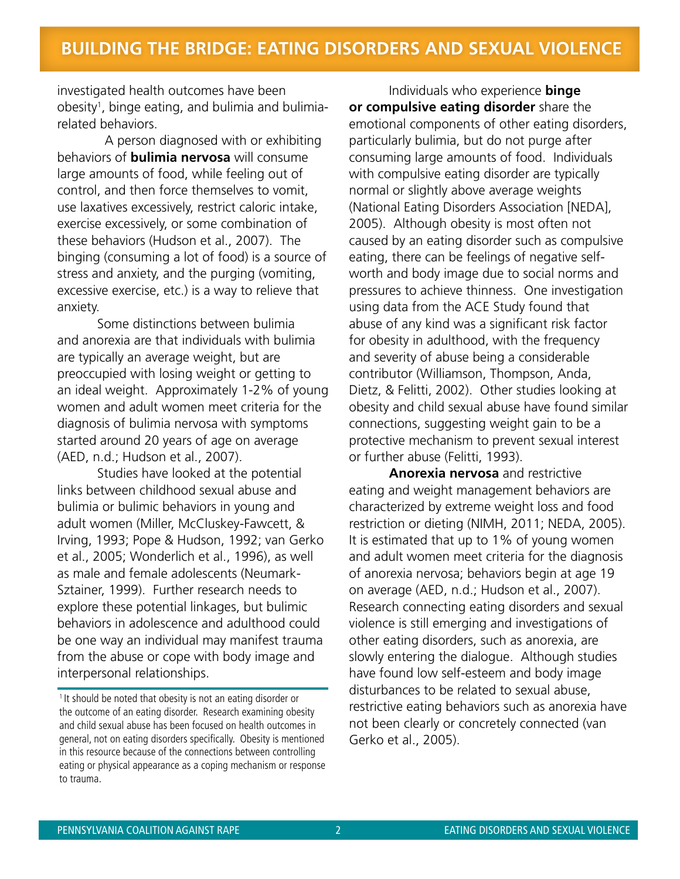investigated health outcomes have been obesity<sup>1</sup>, binge eating, and bulimia and bulimiarelated behaviors.

 A person diagnosed with or exhibiting behaviors of **bulimia nervosa** will consume large amounts of food, while feeling out of control, and then force themselves to vomit, use laxatives excessively, restrict caloric intake, exercise excessively, or some combination of these behaviors (Hudson et al., 2007). The binging (consuming a lot of food) is a source of stress and anxiety, and the purging (vomiting, excessive exercise, etc.) is a way to relieve that anxiety.

Some distinctions between bulimia and anorexia are that individuals with bulimia are typically an average weight, but are preoccupied with losing weight or getting to an ideal weight. Approximately 1-2% of young women and adult women meet criteria for the diagnosis of bulimia nervosa with symptoms started around 20 years of age on average (AED, n.d.; Hudson et al., 2007).

Studies have looked at the potential links between childhood sexual abuse and bulimia or bulimic behaviors in young and adult women (Miller, McCluskey-Fawcett, & Irving, 1993; Pope & Hudson, 1992; van Gerko et al., 2005; Wonderlich et al., 1996), as well as male and female adolescents (Neumark-Sztainer, 1999). Further research needs to explore these potential linkages, but bulimic behaviors in adolescence and adulthood could be one way an individual may manifest trauma from the abuse or cope with body image and interpersonal relationships.

<sup>1</sup> It should be noted that obesity is not an eating disorder or the outcome of an eating disorder. Research examining obesity and child sexual abuse has been focused on health outcomes in general, not on eating disorders specifically. Obesity is mentioned in this resource because of the connections between controlling eating or physical appearance as a coping mechanism or response to trauma.

 Individuals who experience **binge or compulsive eating disorder** share the emotional components of other eating disorders, particularly bulimia, but do not purge after consuming large amounts of food. Individuals with compulsive eating disorder are typically normal or slightly above average weights (National Eating Disorders Association [NEDA], 2005). Although obesity is most often not caused by an eating disorder such as compulsive eating, there can be feelings of negative selfworth and body image due to social norms and pressures to achieve thinness. One investigation using data from the ACE Study found that abuse of any kind was a significant risk factor for obesity in adulthood, with the frequency and severity of abuse being a considerable contributor (Williamson, Thompson, Anda, Dietz, & Felitti, 2002). Other studies looking at obesity and child sexual abuse have found similar connections, suggesting weight gain to be a protective mechanism to prevent sexual interest or further abuse (Felitti, 1993).

 **Anorexia nervosa** and restrictive eating and weight management behaviors are characterized by extreme weight loss and food restriction or dieting (NIMH, 2011; NEDA, 2005). It is estimated that up to 1% of young women and adult women meet criteria for the diagnosis of anorexia nervosa; behaviors begin at age 19 on average (AED, n.d.; Hudson et al., 2007). Research connecting eating disorders and sexual violence is still emerging and investigations of other eating disorders, such as anorexia, are slowly entering the dialogue. Although studies have found low self-esteem and body image disturbances to be related to sexual abuse, restrictive eating behaviors such as anorexia have not been clearly or concretely connected (van Gerko et al., 2005).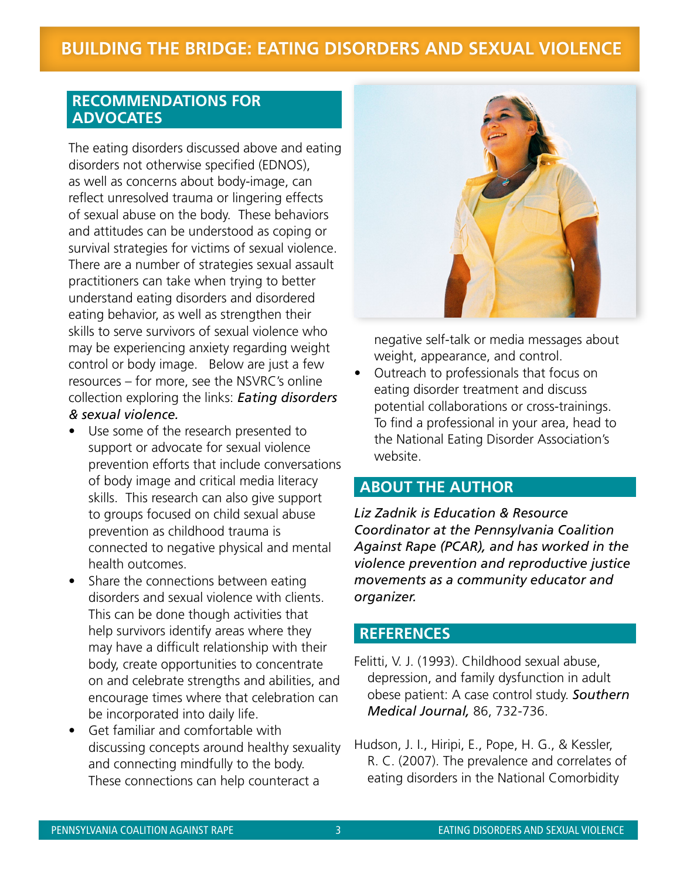# **BUILDING THE BRIDGE: EATING DISORDERS AND SEXUAL VIOLENCE**

#### **[RECOMMENDATIONS FOR](http://www.nsvrc.org/publications/exploring-links-eating-disorders-sexual-violence)  ADVOCATES**

The eating disorders discussed above and eating disorders not otherwise specified (EDNOS), as well as concerns about body-image, can reflect unresolved trauma or lingering effects of sexual abuse on the body. These behaviors and attitudes can be understood as coping or survival strategies for victims of sexual violence. There are a number of strategies sexual assault practitioners can take when trying to better understand eating disorders and disordered eating behavior, as well as strengthen their skills to serve survivors of sexual violence who may be experiencing anxiety regarding weight control or body image. Below are just a few resources – for more, see the NSVRC's online collection exploring the links: *Eating disorders & sexual violence.*

- Use some of the research presented to support or advocate for sexual violence prevention efforts that include conversations of body image and critical media literacy skills. This research can also give support to groups focused on child sexual abuse prevention as childhood trauma is connected to negative physical and mental health outcomes.
- Share the connections between eating disorders and sexual violence with clients. This can be done though activities that help survivors identify areas where they may have a difficult relationship with their body, create opportunities to concentrate on and celebrate strengths and abilities, and encourage times where that celebration can be incorporated into daily life.
- Get familiar and comfortable with discussing concepts around healthy sexuality and connecting mindfully to the body. These connections can help counteract a



negative self-talk or media messages about weight, appearance, and control.

Outreach to professionals that focus on eating disorder treatment and discuss potential collaborations or cross-trainings. To find a professional in your area, head to the National Eating Disorder Association's website.

### **ABOUT THE AUTHOR**

*Liz Zadnik is Education & Resource Coordinator at the Pennsylvania Coalition Against Rape (PCAR), and has worked in the violence prevention and reproductive justice movements as a community educator and organizer.* 

#### **REFERENCES**

- Felitti, V. J. (1993). Childhood sexual abuse, depression, and family dysfunction in adult obese patient: A case control study. *Southern Medical Journal,* 86, 732-736.
- Hudson, J. I., Hiripi, E., Pope, H. G., & Kessler, R. C. (2007). The prevalence and correlates of eating disorders in the National Comorbidity